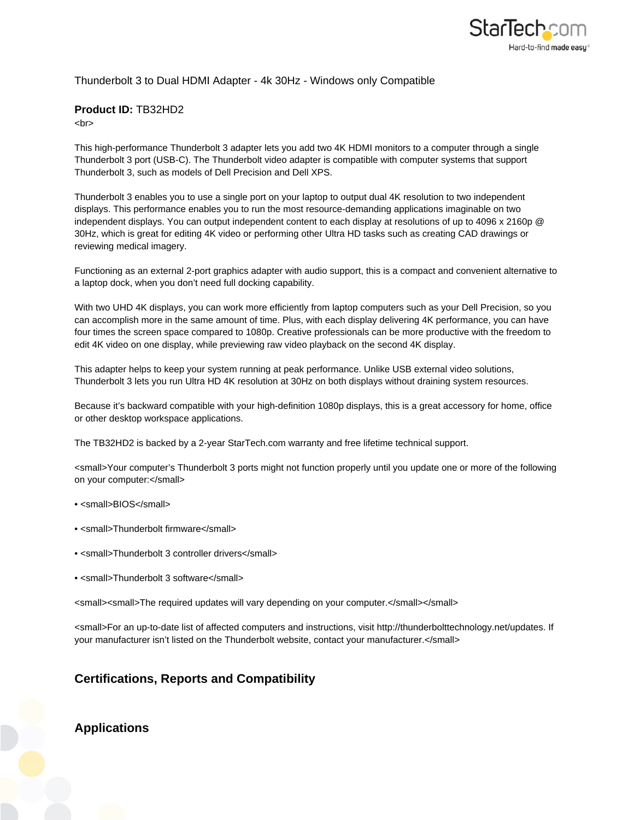

## Thunderbolt 3 to Dual HDMI Adapter - 4k 30Hz - Windows only Compatible

## **Product ID:** TB32HD2

<hr>

This high-performance Thunderbolt 3 adapter lets you add two 4K HDMI monitors to a computer through a single Thunderbolt 3 port (USB-C). The Thunderbolt video adapter is compatible with computer systems that support Thunderbolt 3, such as models of Dell Precision and Dell XPS.

Thunderbolt 3 enables you to use a single port on your laptop to output dual 4K resolution to two independent displays. This performance enables you to run the most resource-demanding applications imaginable on two independent displays. You can output independent content to each display at resolutions of up to 4096 x 2160p @ 30Hz, which is great for editing 4K video or performing other Ultra HD tasks such as creating CAD drawings or reviewing medical imagery.

Functioning as an external 2-port graphics adapter with audio support, this is a compact and convenient alternative to a laptop dock, when you don't need full docking capability.

With two UHD 4K displays, you can work more efficiently from laptop computers such as your Dell Precision, so you can accomplish more in the same amount of time. Plus, with each display delivering 4K performance, you can have four times the screen space compared to 1080p. Creative professionals can be more productive with the freedom to edit 4K video on one display, while previewing raw video playback on the second 4K display.

This adapter helps to keep your system running at peak performance. Unlike USB external video solutions, Thunderbolt 3 lets you run Ultra HD 4K resolution at 30Hz on both displays without draining system resources.

Because it's backward compatible with your high-definition 1080p displays, this is a great accessory for home, office or other desktop workspace applications.

The TB32HD2 is backed by a 2-year StarTech.com warranty and free lifetime technical support.

<small>Your computer's Thunderbolt 3 ports might not function properly until you update one or more of the following on your computer:</small>

- <small>BIOS</small>
- $\epsilon$ small>Thunderbolt firmware $\epsilon$ /small>
- <small>Thunderbolt 3 controller drivers</small>
- <small>Thunderbolt 3 software</small>

<small><small>The required updates will vary depending on your computer.</small></small>

<small>For an up-to-date list of affected computers and instructions, visit http://thunderbolttechnology.net/updates. If your manufacturer isn't listed on the Thunderbolt website, contact your manufacturer.</small>

## **Certifications, Reports and Compatibility**

**Applications**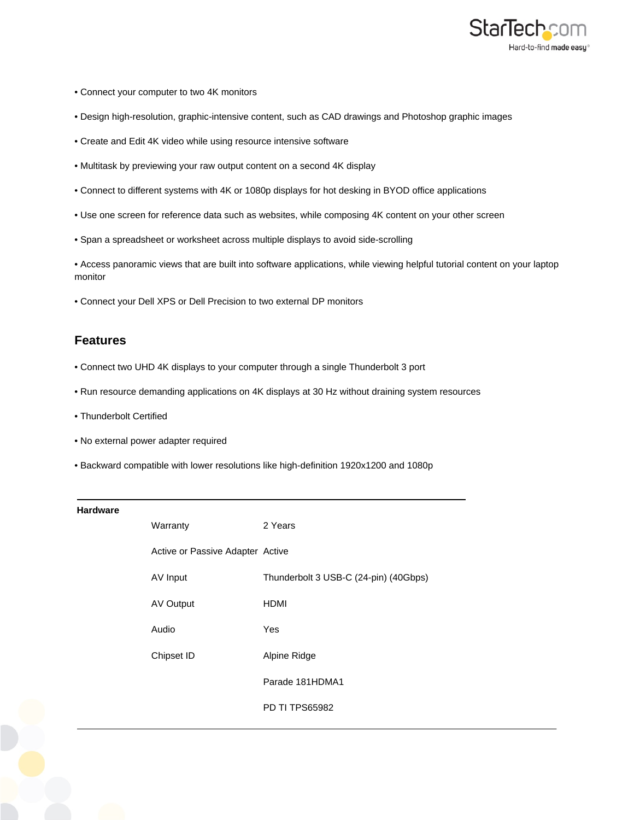

- Connect your computer to two 4K monitors
- Design high-resolution, graphic-intensive content, such as CAD drawings and Photoshop graphic images
- Create and Edit 4K video while using resource intensive software
- Multitask by previewing your raw output content on a second 4K display
- Connect to different systems with 4K or 1080p displays for hot desking in BYOD office applications
- Use one screen for reference data such as websites, while composing 4K content on your other screen
- Span a spreadsheet or worksheet across multiple displays to avoid side-scrolling

• Access panoramic views that are built into software applications, while viewing helpful tutorial content on your laptop monitor

• Connect your Dell XPS or Dell Precision to two external DP monitors

## **Features**

- Connect two UHD 4K displays to your computer through a single Thunderbolt 3 port
- Run resource demanding applications on 4K displays at 30 Hz without draining system resources
- Thunderbolt Certified
- No external power adapter required
- Backward compatible with lower resolutions like high-definition 1920x1200 and 1080p

| <b>Hardware</b> |                                  |                                       |
|-----------------|----------------------------------|---------------------------------------|
|                 | Warranty                         | 2 Years                               |
|                 | Active or Passive Adapter Active |                                       |
|                 | AV Input                         | Thunderbolt 3 USB-C (24-pin) (40Gbps) |
|                 | AV Output                        | <b>HDMI</b>                           |
|                 | Audio                            | Yes                                   |
|                 | Chipset ID                       | Alpine Ridge                          |
|                 |                                  | Parade 181HDMA1                       |
|                 |                                  | <b>PD TI TPS65982</b>                 |
|                 |                                  |                                       |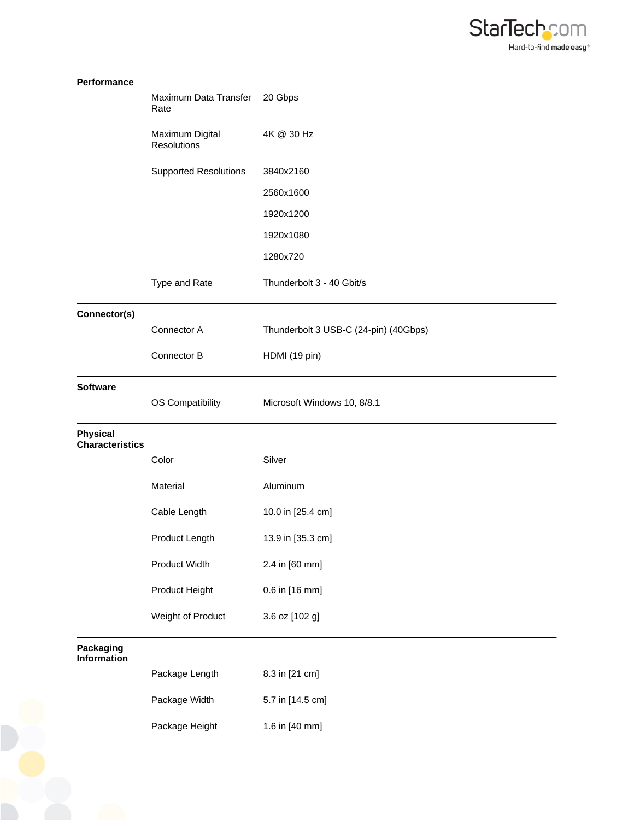

| Performance                               |                                       |                                       |
|-------------------------------------------|---------------------------------------|---------------------------------------|
|                                           | Maximum Data Transfer<br>Rate         | 20 Gbps                               |
|                                           | Maximum Digital<br><b>Resolutions</b> | 4K @ 30 Hz                            |
|                                           | <b>Supported Resolutions</b>          | 3840x2160                             |
|                                           |                                       | 2560x1600                             |
|                                           |                                       | 1920x1200                             |
|                                           |                                       | 1920x1080                             |
|                                           |                                       | 1280x720                              |
|                                           | Type and Rate                         | Thunderbolt 3 - 40 Gbit/s             |
| Connector(s)                              |                                       |                                       |
|                                           | Connector A                           | Thunderbolt 3 USB-C (24-pin) (40Gbps) |
|                                           | Connector B                           | HDMI (19 pin)                         |
| <b>Software</b>                           |                                       |                                       |
|                                           | OS Compatibility                      | Microsoft Windows 10, 8/8.1           |
| <b>Physical</b><br><b>Characteristics</b> |                                       |                                       |
|                                           | Color                                 | Silver                                |
|                                           | Material                              | Aluminum                              |
|                                           | Cable Length                          | 10.0 in [25.4 cm]                     |
|                                           | Product Length                        | 13.9 in [35.3 cm]                     |
|                                           | Product Width                         | 2.4 in [60 mm]                        |
|                                           | Product Height                        | 0.6 in [16 mm]                        |
|                                           | Weight of Product                     | 3.6 oz [102 g]                        |
| Packaging<br>Information                  |                                       |                                       |
|                                           | Package Length                        | 8.3 in [21 cm]                        |
|                                           | Package Width                         | 5.7 in [14.5 cm]                      |
|                                           | Package Height                        | 1.6 in [40 mm]                        |